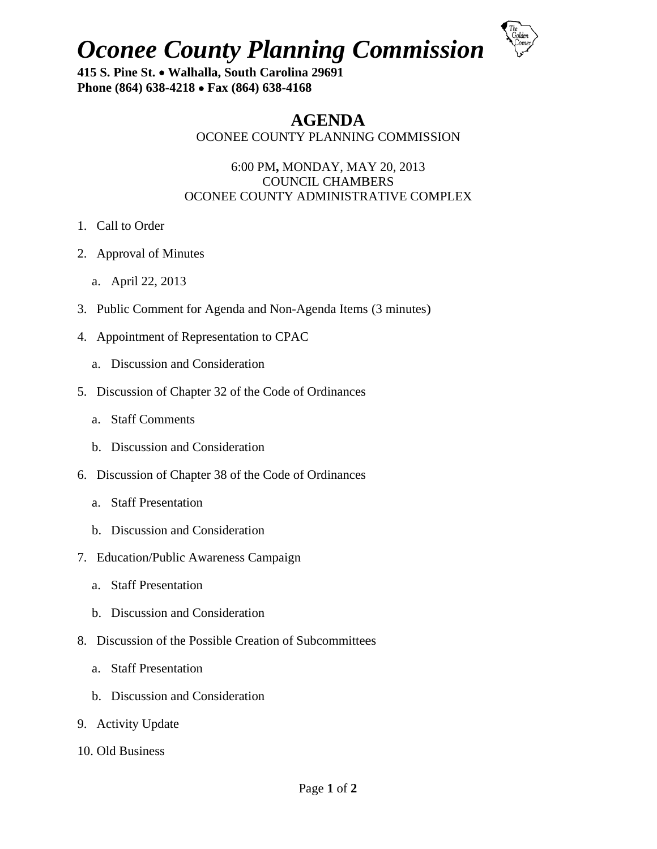**Oconee County Planning Commission** 



415 S. Pine St. • Walhalla, South Carolina 29691 Phone (864) 638-4218 • Fax (864) 638-4168

# **AGENDA**

## OCONEE COUNTY PLANNING COMMISSION

#### 6:00 PM, MONDAY, MAY 20, 2013 **COUNCIL CHAMBERS** OCONEE COUNTY ADMINISTRATIVE COMPLEX

- 1. Call to Order
- 2. Approval of Minutes
	- a. April 22, 2013
- 3. Public Comment for Agenda and Non-Agenda Items (3 minutes)
- 4. Appointment of Representation to CPAC
	- a. Discussion and Consideration
- 5. Discussion of Chapter 32 of the Code of Ordinances
	- a. Staff Comments
	- b. Discussion and Consideration
- 6. Discussion of Chapter 38 of the Code of Ordinances
	- a. Staff Presentation
	- b. Discussion and Consideration
- 7. Education/Public Awareness Campaign
	- a. Staff Presentation
	- b. Discussion and Consideration
- 8. Discussion of the Possible Creation of Subcommittees
	- a. Staff Presentation
	- b. Discussion and Consideration
- 9. Activity Update
- 10. Old Business